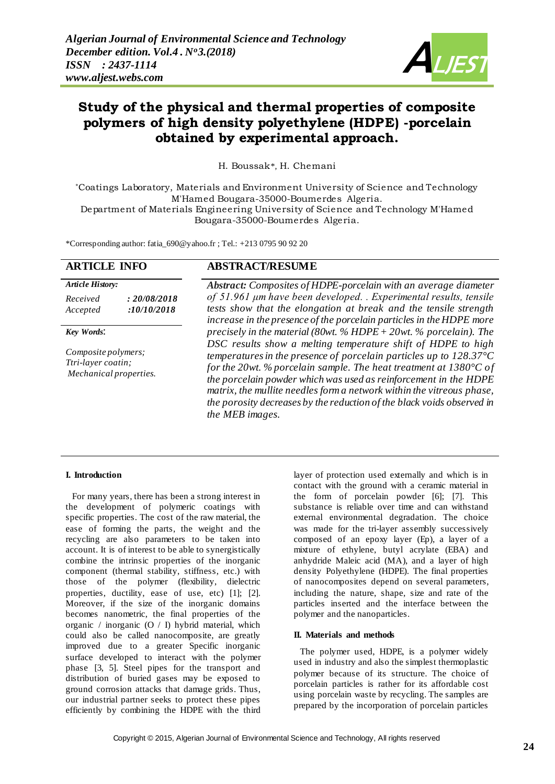

# **Study of the physical and thermal properties of composite polymers of high density polyethylene (HDPE) -porcelain obtained by experimental approach.**

H. Boussak\*, H. Chemani

\*Coatings Laboratory, Materials and Environment University of Science and Technology M'Hamed Bougara-35000-Boumerdes Algeria.

Department of Materials Engineering University of Science and Technology M'Hamed Bougara-35000-Boumerdes Algeria.

\*Corresponding author: fatia\_69[0@yahoo.fr](mailto:affoune2@yahoo.fr) ; Tel.: +213 0795 90 92 20

# **ARTICLE INFO ABSTRACT/RESUME**

# *Article History: Received : 20/08/2018 Accepted :10/10/2018*

#### *Key Words*:

*Composite polymers; Ttri-layer coatin; Mechanical properties.*

*Abstract: Composites of HDPE-porcelain with an average diameter of 51.961 μm have been developed. . Experimental results, tensile tests show that the elongation at break and the tensile strength increase in the presence of the porcelain particles in the HDPE more precisely in the material (80wt. % HDPE + 20wt. % porcelain). The DSC results show a melting temperature shift of HDPE to high temperatures in the presence of porcelain particles up to 128.37°C for the 20wt. % porcelain sample. The heat treatment at 1380°C of the porcelain powder which was used as reinforcement in the HDPE matrix, the mullite needles form a network within the vitreous phase, the porosity decreases by the reduction of the black voids observed in the MEB images.* 

# **I. Introduction**

 For many years, there has been a strong interest in the development of polymeric coatings with specific properties. The cost of the raw material, the ease of forming the parts, the weight and the recycling are also parameters to be taken into account. It is of interest to be able to synergistically combine the intrinsic properties of the inorganic component (thermal stability, stiffness, etc.) with those of the polymer (flexibility, dielectric properties, ductility, ease of use, etc) [1]; [2]. Moreover, if the size of the inorganic domains becomes nanometric, the final properties of the organic / inorganic (O / I) hybrid material, which could also be called nanocomposite, are greatly improved due to a greater Specific inorganic surface developed to interact with the polymer phase [3, 5]. Steel pipes for the transport and distribution of buried gases may be exposed to ground corrosion attacks that damage grids. Thus, our industrial partner seeks to protect these pipes efficiently by combining the HDPE with the third

layer of protection used externally and which is in contact with the ground with a ceramic material in the form of porcelain powder [6]; [7]. This substance is reliable over time and can withstand external environmental degradation. The choice was made for the tri-layer assembly successively composed of an epoxy layer (Ep), a layer of a mixture of ethylene, butyl acrylate (EBA) and anhydride Maleic acid (MA), and a layer of high density Polyethylene (HDPE). The final properties of nanocomposites depend on several parameters, including the nature, shape, size and rate of the particles inserted and the interface between the polymer and the nanoparticles.

#### **II. Materials and methods**

 The polymer used, HDPE, is a polymer widely used in industry and also the simplest thermoplastic polymer because of its structure. The choice of porcelain particles is rather for its affordable cost using porcelain waste by recycling. The samples are prepared by the incorporation of porcelain particles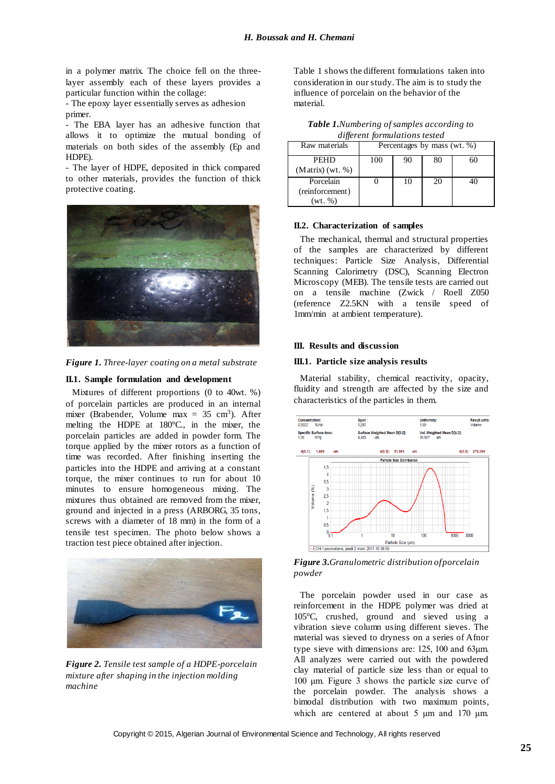in a polymer matrix. The choice fell on the threelayer assembly each of these layers provides a particular function within the collage:

- The epoxy layer essentially serves as adhesion primer.

- The EBA layer has an adhesive function that allows it to optimize the mutual bonding of materials on both sides of the assembly (Ep and HDPE).

- The layer of HDPE, deposited in thick compared to other materials, provides the function of thick protective coating.



*Figure 1. Three-layer coating on a metal substrate*

#### **II.1. Sample formulation and development**

 Mixtures of different proportions (0 to 40wt. %) of porcelain particles are produced in an internal mixer (Brabender, Volume max  $= 35$  cm<sup>3</sup>). After melting the HDPE at 180°C., in the mixer, the porcelain particles are added in powder form. The torque applied by the mixer rotors as a function of time was recorded. After finishing inserting the particles into the HDPE and arriving at a constant torque, the mixer continues to run for about 10 minutes to ensure homogeneous mixing. The mixtures thus obtained are removed from the mixer, ground and injected in a press (ARBORG, 35 tons, screws with a diameter of 18 mm) in the form of a tensile test specimen. The photo below shows a traction test piece obtained after injection.



*Figure 2. Tensile test sample of a HDPE-porcelain mixture after shaping in the injection molding machine*

Table 1 shows the different formulations taken into consideration in our study. The aim is to study the influence of porcelain on the behavior of the material.

| utherent formaturious resieu |                             |    |    |    |  |
|------------------------------|-----------------------------|----|----|----|--|
| Raw materials                | Percentages by mass (wt. %) |    |    |    |  |
| PEHD                         | 100                         | 90 | 80 | 60 |  |
| $(Matrix)$ (wt. %)           |                             |    |    |    |  |
| Porcelain                    |                             | 10 | 20 | 40 |  |
| (reinforcement)              |                             |    |    |    |  |
| (wt. %)                      |                             |    |    |    |  |

*Table 1.Numbering of samples according to different formulations tested*

## **II.2. Characterization of samples**

 The mechanical, thermal and structural properties of the samples are characterized by different techniques: Particle Size Analysis, Differential Scanning Calorimetry (DSC), Scanning Electron Microscopy (MEB). The tensile tests are carried out on a tensile machine (Zwick / Roell Z050 (reference Z2.5KN with a tensile speed of 1mm/min at ambient temperature).

#### **III. Results and discussion**

#### **III.1. Particle size analysis results**

 Material stability, chemical reactivity, opacity, fluidity and strength are affected by the size and characteristics of the particles in them.



*Figure 3.Granulometric distribution of porcelain powder*

 The porcelain powder used in our case as reinforcement in the HDPE polymer was dried at 105°C, crushed, ground and sieved using a vibration sieve column using different sieves. The material was sieved to dryness on a series of Afnor type sieve with dimensions are: 125, 100 and 63μm. All analyzes were carried out with the powdered clay material of particle size less than or equal to 100 μm. Figure 3 shows the particle size curve of the porcelain powder. The analysis shows a bimodal distribution with two maximum points, which are centered at about 5 μm and 170 μm.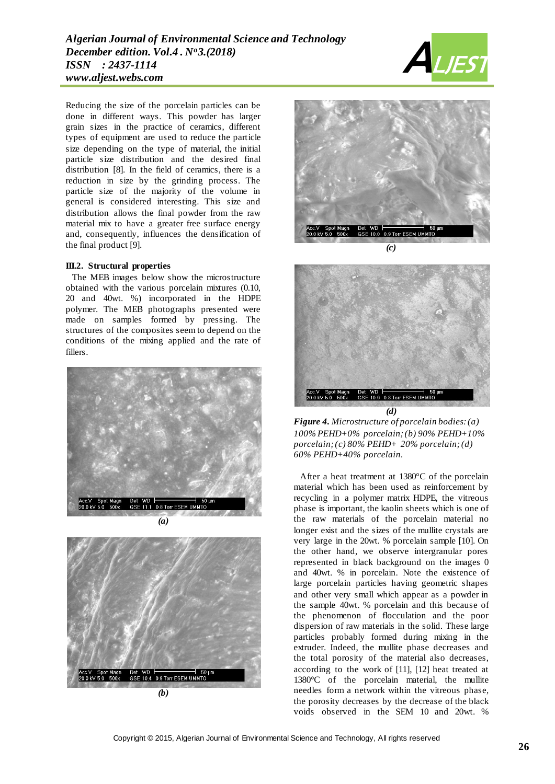Reducing the size of the porcelain particles can be done in different ways. This powder has larger grain sizes in the practice of ceramics, different types of equipment are used to reduce the particle size depending on the type of material, the initial particle size distribution and the desired final distribution [8]. In the field of ceramics, there is a reduction in size by the grinding process. The particle size of the majority of the volume in general is considered interesting. This size and distribution allows the final powder from the raw material mix to have a greater free surface energy and, consequently, influences the densification of the final product [9].

#### **III.2. Structural properties**

 The MEB images below show the microstructure obtained with the various porcelain mixtures (0.10, 20 and 40wt. %) incorporated in the HDPE polymer. The MEB photographs presented were made on samples formed by pressing. The structures of the composites seem to depend on the conditions of the mixing applied and the rate of fillers.



*(a)*



*(b)*







*Figure 4. Microstructure of porcelain bodies: (a) 100% PEHD+0% porcelain; (b) 90% PEHD+10% porcelain; (c) 80% PEHD+ 20% porcelain; (d) 60% PEHD+40% porcelain.*

 After a heat treatment at 1380°C of the porcelain material which has been used as reinforcement by recycling in a polymer matrix HDPE, the vitreous phase is important, the kaolin sheets which is one of the raw materials of the porcelain material no longer exist and the sizes of the mullite crystals are very large in the 20wt. % porcelain sample [10]. On the other hand, we observe intergranular pores represented in black background on the images 0 and 40wt. % in porcelain. Note the existence of large porcelain particles having geometric shapes and other very small which appear as a powder in the sample 40wt. % porcelain and this because of the phenomenon of flocculation and the poor dispersion of raw materials in the solid. These large particles probably formed during mixing in the extruder. Indeed, the mullite phase decreases and the total porosity of the material also decreases, according to the work of [11], [12] heat treated at 1380°C of the porcelain material, the mullite needles form a network within the vitreous phase, the porosity decreases by the decrease of the black voids observed in the SEM 10 and 20wt. %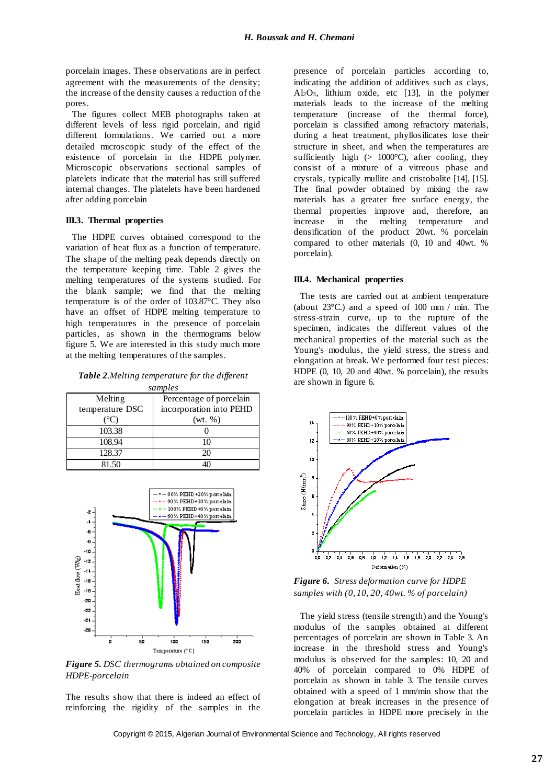porcelain images. These observations are in perfect agreement with the measurements of the density; the increase of the density causes a reduction of the pores.

 The figures collect MEB photographs taken at different levels of less rigid porcelain, and rigid different formulations. We carried out a more detailed microscopic study of the effect of the existence of porcelain in the HDPE polymer. Microscopic observations sectional samples of platelets indicate that the material has still suffered internal changes. The platelets have been hardened after adding porcelain

#### **III.3. Thermal properties**

 The HDPE curves obtained correspond to the variation of heat flux as a function of temperature. The shape of the melting peak depends directly on the temperature keeping time. Table 2 gives the melting temperatures of the systems studied. For the blank sample; we find that the melting temperature is of the order of 103.87°C. They also have an offset of HDPE melting temperature to high temperatures in the presence of porcelain particles, as shown in the thermograms below figure 5. We are interested in this study much more at the melting temperatures of the samples.

*Table 2.Melting temperature for the different samples*

| Melting         | Percentage of porcelain |  |  |
|-----------------|-------------------------|--|--|
| temperature DSC | incorporation into PEHD |  |  |
|                 | (wt. %)                 |  |  |
| 103.38          |                         |  |  |
| 108.94          |                         |  |  |
| 128.37          | 20                      |  |  |
| 81 50           |                         |  |  |



*Figure 5. DSC thermograms obtained on composite HDPE-porcelain*

The results show that there is indeed an effect of reinforcing the rigidity of the samples in the

presence of porcelain particles according to, indicating the addition of additives such as clays, Al2O3, lithium oxide, etc [13], in the polymer materials leads to the increase of the melting temperature (increase of the thermal force), porcelain is classified among refractory materials, during a heat treatment, phyllosilicates lose their structure in sheet, and when the temperatures are sufficiently high  $(> 1000^{\circ}C)$ , after cooling, they consist of a mixture of a vitreous phase and crystals, typically mullite and cristobalite [14], [15]. The final powder obtained by mixing the raw materials has a greater free surface energy, the thermal properties improve and, therefore, an increase in the melting temperature and densification of the product 20wt. % porcelain compared to other materials (0, 10 and 40wt. % porcelain).

## **III.4. Mechanical properties**

 The tests are carried out at ambient temperature (about 23°C.) and a speed of 100 mm / min. The stress-strain curve, up to the rupture of the specimen, indicates the different values of the mechanical properties of the material such as the Young's modulus, the yield stress, the stress and elongation at break. We performed four test pieces: HDPE (0, 10, 20 and 40wt. % porcelain), the results are shown in figure 6.



*Figure 6. Stress deformation curve for HDPE samples with (0, 10, 20, 40wt. % of porcelain)*

 The yield stress (tensile strength) and the Young's modulus of the samples obtained at different percentages of porcelain are shown in Table 3. An increase in the threshold stress and Young's modulus is observed for the samples: 10, 20 and 40% of porcelain compared to 0% HDPE of porcelain as shown in table 3. The tensile curves obtained with a speed of 1 mm/min show that the elongation at break increases in the presence of porcelain particles in HDPE more precisely in the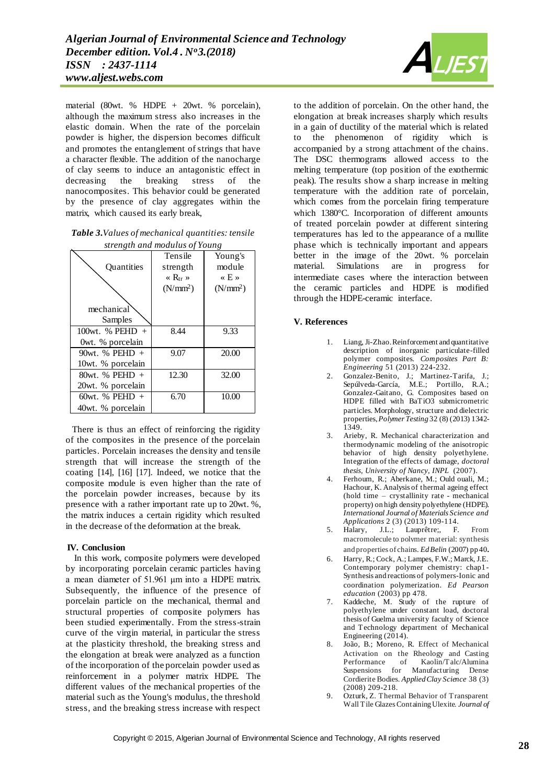material (80wt. % HDPE + 20wt. % porcelain), although the maximum stress also increases in the elastic domain. When the rate of the porcelain powder is higher, the dispersion becomes difficult and promotes the entanglement of strings that have a character flexible. The addition of the nanocharge of clay seems to induce an antagonistic effect in decreasing the breaking stress of the nanocomposites. This behavior could be generated by the presence of clay aggregates within the matrix, which caused its early break,

*Table 3.Values of mechanical quantities: tensile strength and modulus of Young*

| strengin ana modutus of Toung |                                          |                            |  |  |  |
|-------------------------------|------------------------------------------|----------------------------|--|--|--|
|                               | Tensile                                  | Young's                    |  |  |  |
| <b>Ouantities</b>             | strength                                 | module                     |  |  |  |
|                               | $\langle \mathbf{R}_{\text{tr}} \rangle$ | $\langle \times E \rangle$ |  |  |  |
|                               | (N/mm <sup>2</sup> )                     | (N/mm <sup>2</sup> )       |  |  |  |
|                               |                                          |                            |  |  |  |
| mechanical                    |                                          |                            |  |  |  |
| Samples                       |                                          |                            |  |  |  |
| 100wt. $%$ PEHD +             | 8.44                                     | 9.33                       |  |  |  |
| Owt. % porcelain              |                                          |                            |  |  |  |
| 90wt. $%$ PEHD +              | 9.07                                     | 20.00                      |  |  |  |
| 10wt. % porcelain             |                                          |                            |  |  |  |
| $80wt.$ % PEHD $+$            | 12.30                                    | 32.00                      |  |  |  |
| 20wt. % porcelain             |                                          |                            |  |  |  |
| $60wt.$ % PEHD $+$            | 6.70                                     | 10.00                      |  |  |  |
| 40wt. % porcelain             |                                          |                            |  |  |  |
|                               |                                          |                            |  |  |  |

 There is thus an effect of reinforcing the rigidity of the composites in the presence of the porcelain particles. Porcelain increases the density and tensile strength that will increase the strength of the coating [14], [16] [17]. Indeed, we notice that the composite module is even higher than the rate of the porcelain powder increases, because by its presence with a rather important rate up to 20wt. %, the matrix induces a certain rigidity which resulted in the decrease of the deformation at the break.

# **IV. Conclusion**

 In this work, composite polymers were developed by incorporating porcelain ceramic particles having a mean diameter of 51.961 μm into a HDPE matrix. Subsequently, the influence of the presence of porcelain particle on the mechanical, thermal and structural properties of composite polymers has been studied experimentally. From the stress-strain curve of the virgin material, in particular the stress at the plasticity threshold, the breaking stress and the elongation at break were analyzed as a function of the incorporation of the porcelain powder used as reinforcement in a polymer matrix HDPE. The different values of the mechanical properties of the material such as the Young's modulus, the threshold stress, and the breaking stress increase with respect



to the addition of porcelain. On the other hand, the elongation at break increases sharply which results in a gain of ductility of the material which is related to the phenomenon of rigidity which is accompanied by a strong attachment of the chains. The DSC thermograms allowed access to the melting temperature (top position of the exothermic peak). The results show a sharp increase in melting temperature with the addition rate of porcelain, which comes from the porcelain firing temperature which 1380°C. Incorporation of different amounts of treated porcelain powder at different sintering temperatures has led to the appearance of a mullite phase which is technically important and appears better in the image of the 20wt. % porcelain material. Simulations are in progress for intermediate cases where the interaction between the ceramic particles and HDPE is modified through the HDPE-ceramic interface.

## **V. References**

- 1. Liang, Ji-Zhao. Reinforcement and quantitative description of inorganic particulate-filled polymer composites. *Composites Part B: Engineering* 51 (2013) 224-232.
- 2. Gonzalez-Benito, J.; Martinez-Tarifa, J.; Sepúlveda-García, M.E.; Portillo, R.A.; Gonzalez-Gaitano, G. Composites based on HDPE filled with BaTiO3 submicrometric particles. Morphology, structure and dielectric properties, *Polymer Testing* 32 (8) (2013) 1342- 1349.
- 3. Arieby, R. Mechanical characterization and thermodynamic modeling of the anisotropic behavior of high density polyethylene. Integration of the effects of damage, *doctoral thesis, University of Nancy, INPL* (2007).
- 4. Ferhoum, R.; Aberkane, M.; Ould ouali, M.; Hachour, K. Analysis of thermal ageing effect (hold time – crystallinity rate - mechanical property) on high density polyethylene (HDPE). *International Journal of Materials Science and Applications* 2 (3) (2013) 109-114.
- 5. Halary, J.L.; Lauprêtre;, F. From macromolecule to polymer material: synthesis and properties of chains. *Ed Belin* (2007) pp 40.
- 6. Harry, R.; Cock, A.; Lampes, F.W.; Marck, J.E. Contemporary polymer chemistry: chap1- Synthesis and reactions of polymers-Ionic and coordination polymerization. *Ed Pearson education* (2003) pp 478.
- 7. Kaddeche, M. Study of the rupture of polyethylene under constant load, doctoral thesis of Guelma university faculty of Science and Technology department of Mechanical Engineering (2014).
- 8. João, B.; Moreno, R. Effect of Mechanical Activation on the Rheology and Casting Performance of Kaolin/Talc/Alumina Suspensions for Manufacturing Dense Cordierite Bodies. *Applied Clay Science* 38 (3) (2008) 209-218.
- 9. Ozturk, Z. Thermal Behavior of Transparent Wall Tile Glazes Containing Ulexite. *[Journal of](https://www.researchgate.net/journal/0004-881X_Journal_of_the_Australian_Ceramic_Society)*